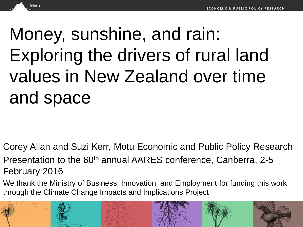# Money, sunshine, and rain: Exploring the drivers of rural land values in New Zealand over time and space

Motu

Corey Allan and Suzi Kerr, Motu Economic and Public Policy Research

Presentation to the 60<sup>th</sup> annual AARES conference, Canberra, 2-5 February 2016

We thank the Ministry of Business, Innovation, and Employment for funding this work through the Climate Change Impacts and Implications Project

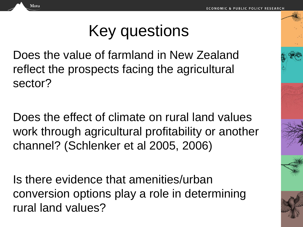Key questions

Does the value of farmland in New Zealand reflect the prospects facing the agricultural sector?

Motu

Does the effect of climate on rural land values work through agricultural profitability or another channel? (Schlenker et al 2005, 2006)

Is there evidence that amenities/urban conversion options play a role in determining rural land values?

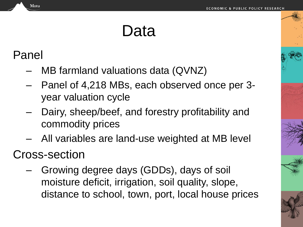# Data

#### Panel

Motu

- MB farmland valuations data (QVNZ)
- Panel of 4,218 MBs, each observed once per 3 year valuation cycle
- Dairy, sheep/beef, and forestry profitability and commodity prices
- All variables are land-use weighted at MB level

### Cross-section

– Growing degree days (GDDs), days of soil moisture deficit, irrigation, soil quality, slope, distance to school, town, port, local house prices

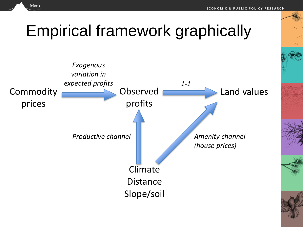# Empirical framework graphically

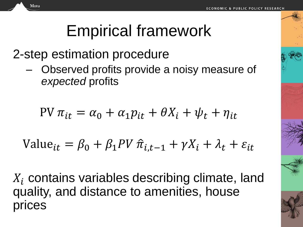# Empirical framework

2-step estimation procedure

Motu

– Observed profits provide a noisy measure of *expected* profits

$$
PV \pi_{it} = \alpha_0 + \alpha_1 p_{it} + \theta X_i + \psi_t + \eta_{it}
$$

Value<sub>it</sub> = 
$$
\beta_0
$$
 +  $\beta_1 PV \hat{\pi}_{i,t-1}$  +  $\gamma X_i$  +  $\lambda_t$  +  $\varepsilon_{it}$ 

 $X_i$  contains variables describing climate, land quality, and distance to amenities, house rices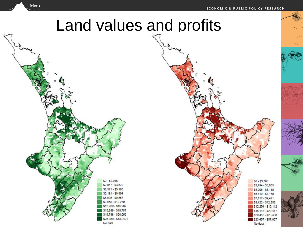$$0 - $3,793$ 

\$3,794 - \$5,005

 $$5,006 - $6,118$ 

\$6,119 - \$7,168

\$7,117 - \$9,421

\$9,422 - \$12,253

\$12,254 - \$16,112

\$16,113 - \$20,417

\$20,418 - \$23,406

\$23,407 - \$57,927

No data

#### Motu

## Land values and profits

 $$0 - $2.046$  $$2,047 - $3,570$  $$3,571 - $5,180$ \$5,181 - \$6,994 \$6,995 - \$9,557 \$9,558 - \$12,279 \$12,280 - \$15,987 \$15,988 - \$19,787 \$19,788 - \$26,059 \$26,060 - \$133,491

No data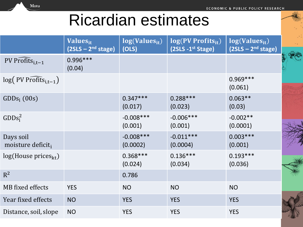# Ricardian estimates

Motu

|                                            | Values <sub>it</sub><br>$(2SLS - 2nd stage)$ | $log(Values_{it})$<br>(OLS) | $log(PV)$ Profits <sub>it</sub> )<br>$(2SLS - 1st Stage)$ | $log(Values_{it})$<br>$(2SLS - 2nd stage)$ |  |
|--------------------------------------------|----------------------------------------------|-----------------------------|-----------------------------------------------------------|--------------------------------------------|--|
| PV Profits $_{i,t-1}$                      | $0.996***$<br>(0.04)                         |                             |                                                           |                                            |  |
| $log($ PV Profits <sub>i,t-1</sub> )       |                                              |                             |                                                           | $0.969***$<br>(0.061)                      |  |
| $GDDs_i(00s)$                              |                                              | $0.347***$<br>(0.017)       | $0.288***$<br>(0.023)                                     | $0.063**$<br>(0.03)                        |  |
| $GDDs_i^2$                                 |                                              | $-0.008***$<br>(0.001)      | $-0.006***$<br>(0.001)                                    | $-0.002**$<br>(0.0001)                     |  |
| Days soil<br>moisture deficit <sub>i</sub> |                                              | $-0.008***$<br>(0.0002)     | $-0.011***$<br>(0.0004)                                   | $0.003***$<br>(0.001)                      |  |
| log(House prices <sub>kt</sub> )           |                                              | $0.368***$<br>(0.024)       | $0.136***$<br>(0.034)                                     | $0.193***$<br>(0.036)                      |  |
| $R^2$                                      |                                              | 0.786                       |                                                           |                                            |  |
| MB fixed effects                           | <b>YES</b>                                   | <b>NO</b>                   | <b>NO</b>                                                 | <b>NO</b>                                  |  |
| Year fixed effects                         | <b>NO</b>                                    | <b>YES</b>                  | <b>YES</b>                                                | <b>YES</b>                                 |  |
| Distance, soil, slope                      | <b>NO</b>                                    | <b>YES</b>                  | <b>YES</b>                                                | <b>YES</b>                                 |  |